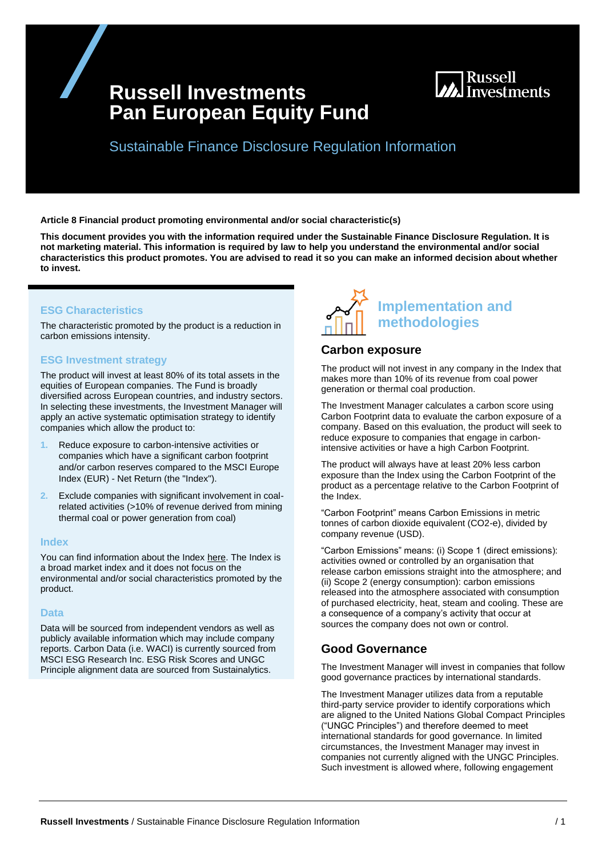# **Russell Investments Pan European Equity Fund**



Sustainable Finance Disclosure Regulation Information

**Article 8 Financial product promoting environmental and/or social characteristic(s)**

**This document provides you with the information required under the Sustainable Finance Disclosure Regulation. It is not marketing material. This information is required by law to help you understand the environmental and/or social characteristics this product promotes. You are advised to read it so you can make an informed decision about whether to invest.**

### **ESG Characteristics**

The characteristic promoted by the product is a reduction in carbon emissions intensity.

## **ESG Investment strategy**

The product will invest at least 80% of its total assets in the equities of European companies. The Fund is broadly diversified across European countries, and industry sectors. In selecting these investments, the Investment Manager will apply an active systematic optimisation strategy to identify companies which allow the product to:

- **1.** Reduce exposure to carbon-intensive activities or companies which have a significant carbon footprint and/or carbon reserves compared to the MSCI Europe Index (EUR) - Net Return (the "Index").
- **2.** Exclude companies with significant involvement in coalrelated activities (>10% of revenue derived from mining thermal coal or power generation from coal)

#### **Index**

You can find information about the Index [here.](https://www.msci.com/index-methodology) The Index is a broad market index and it does not focus on the environmental and/or social characteristics promoted by the product.

#### **Data**

Data will be sourced from independent vendors as well as publicly available information which may include company reports. Carbon Data (i.e. WACI) is currently sourced from MSCI ESG Research Inc. ESG Risk Scores and UNGC Principle alignment data are sourced from Sustainalytics.



## **Carbon exposure**

The product will not invest in any company in the Index that makes more than 10% of its revenue from coal power generation or thermal coal production.

The Investment Manager calculates a carbon score using Carbon Footprint data to evaluate the carbon exposure of a company. Based on this evaluation, the product will seek to reduce exposure to companies that engage in carbonintensive activities or have a high Carbon Footprint.

The product will always have at least 20% less carbon exposure than the Index using the Carbon Footprint of the product as a percentage relative to the Carbon Footprint of the Index.

"Carbon Footprint" means Carbon Emissions in metric tonnes of carbon dioxide equivalent (CO2-e), divided by company revenue (USD).

"Carbon Emissions" means: (i) Scope 1 (direct emissions): activities owned or controlled by an organisation that release carbon emissions straight into the atmosphere; and (ii) Scope 2 (energy consumption): carbon emissions released into the atmosphere associated with consumption of purchased electricity, heat, steam and cooling. These are a consequence of a company's activity that occur at sources the company does not own or control.

## **Good Governance**

The Investment Manager will invest in companies that follow good governance practices by international standards.

The Investment Manager utilizes data from a reputable third-party service provider to identify corporations which are aligned to the United Nations Global Compact Principles ("UNGC Principles") and therefore deemed to meet international standards for good governance. In limited circumstances, the Investment Manager may invest in companies not currently aligned with the UNGC Principles. Such investment is allowed where, following engagement